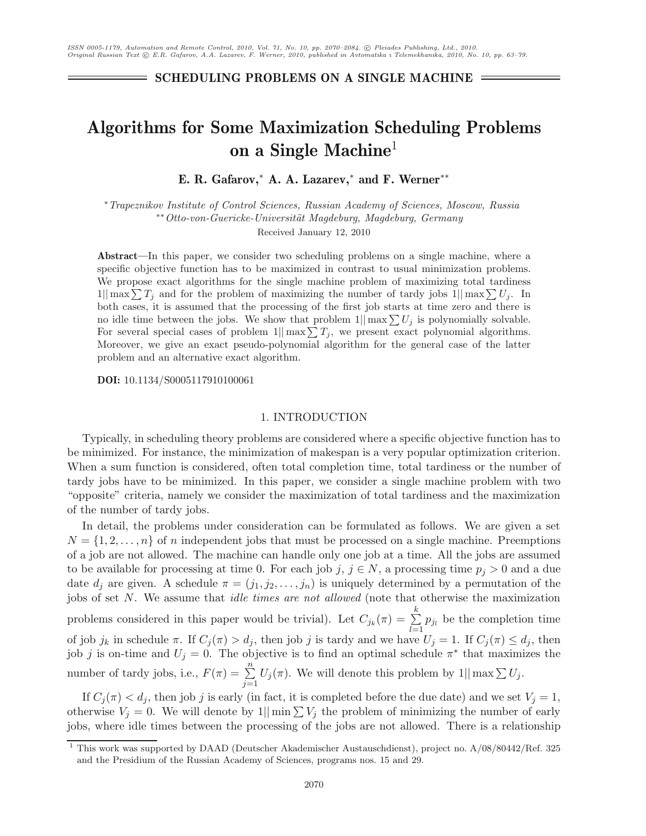**SCHEDULING PROBLEMS ON A SINGLE MACHINE**

# **Algorithms for Some Maximization Scheduling Problems on a Single Machine**<sup>1</sup>

**E. R. Gafarov,**<sup>∗</sup> **A. A. Lazarev,**<sup>∗</sup> **and F. Werner**∗∗

∗*Trapeznikov Institute of Control Sciences, Russian Academy of Sciences, Moscow, Russia* ∗∗*Otto-von-Guericke-Universit¨at Magdeburg, Magdeburg, Germany*

Received January 12, 2010

**Abstract—**In this paper, we consider two scheduling problems on a single machine, where a specific objective function has to be maximized in contrast to usual minimization problems. We propose exact algorithms for the single machine problem of maximizing total tardiness  $1\|\max\sum T_j$  and for the problem of maximizing the number of tardy jobs  $1\|\max\sum U_j$ . In both cases, it is assumed that the processing of the first job starts at time zero and there is no idle time between the jobs. We show that problem  $1|| \max \sum U_j$  is polynomially solvable. For several special cases of problem  $1|| \max \sum T_j$ , we present exact polynomial algorithms. Moreover, we give an exact pseudo-polynomial algorithm for the general case of the latter problem and an alternative exact algorithm.

**DOI:** 10.1134/S0005117910100061

#### 1. INTRODUCTION

Typically, in scheduling theory problems are considered where a specific objective function has to be minimized. For instance, the minimization of makespan is a very popular optimization criterion. When a sum function is considered, often total completion time, total tardiness or the number of tardy jobs have to be minimized. In this paper, we consider a single machine problem with two "opposite" criteria, namely we consider the maximization of total tardiness and the maximization of the number of tardy jobs.

In detail, the problems under consideration can be formulated as follows. We are given a set  $N = \{1, 2, \ldots, n\}$  of n independent jobs that must be processed on a single machine. Preemptions of a job are not allowed. The machine can handle only one job at a time. All the jobs are assumed to be available for processing at time 0. For each job j,  $j \in N$ , a processing time  $p_j > 0$  and a due date  $d_j$  are given. A schedule  $\pi = (j_1, j_2, \ldots, j_n)$  is uniquely determined by a permutation of the jobs of set N. We assume that *idle times are not allowed* (note that otherwise the maximization problems considered in this paper would be trivial). Let  $C_{j_k}(\pi) = \sum_{k=1}^{k}$  $\sum_{l=1}^{n} p_{j_l}$  be the completion time of job j<sub>k</sub> in schedule  $\pi$ . If  $C_j(\pi) > d_j$ , then job j is tardy and we have  $U_j = 1$ . If  $C_j(\pi) \leq d_j$ , then job j is on-time and  $U_j = 0$ . The objective is to find an optimal schedule  $\pi^*$  that maximizes the number of tardy jobs, i.e.,  $F(\pi) = \sum_{n=1}^{\infty}$  $\sum_{j=1}$  $U_j(\pi)$ . We will denote this problem by  $1||\max \sum U_j$ .

If  $C_i(\pi) < d_i$ , then job j is early (in fact, it is completed before the due date) and we set  $V_i = 1$ , otherwise  $V_j = 0$ . We will denote by  $1|| \min \sum V_j$  the problem of minimizing the number of early jobs, where idle times between the processing of the jobs are not allowed. There is a relationship

<sup>1</sup> This work was supported by DAAD (Deutscher Akademischer Austauschdienst), project no. A/08/80442/Ref. 325 and the Presidium of the Russian Academy of Sciences, programs nos. 15 and 29.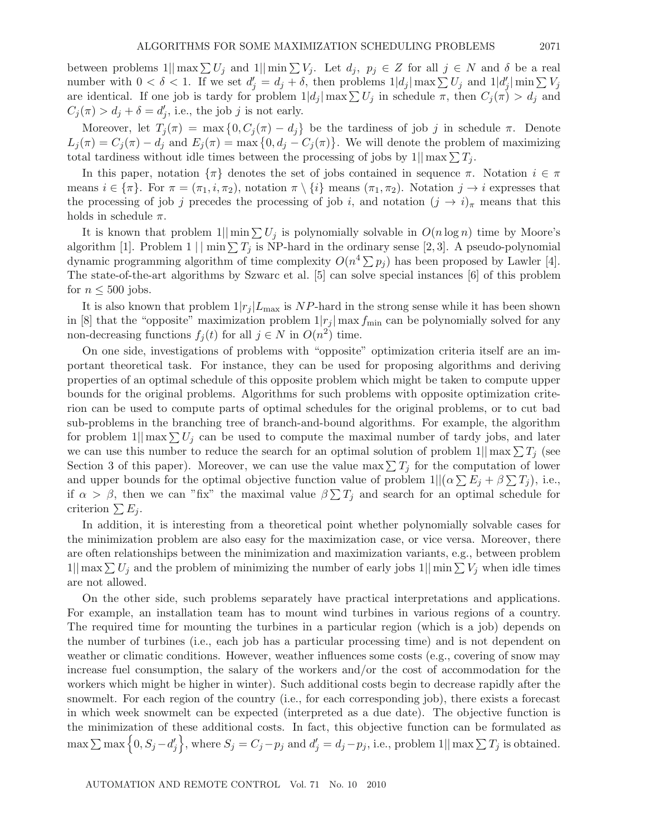between problems  $1||\max \sum U_j$  and  $1||\min \sum V_j$ . Let  $d_j$ ,  $p_j \in Z$  for all  $j \in N$  and  $\delta$  be a real number with  $0 < \delta < 1$ . If we set  $d_i' = d_j + \delta$ , then problems  $1|d_j| \max \sum U_j$  and  $1|d'_j| \min \sum V_j$ are identical. If one job is tardy for problem  $1|d_j| \max \sum U_j$  in schedule  $\pi$ , then  $C_j(\pi) > d_j$  and  $C_j(\pi) > d_j + \delta = d'_j$ , i.e., the job j is not early.

Moreover, let  $T_i(\pi) = \max\{0, C_i(\pi) - d_i\}$  be the tardiness of job j in schedule  $\pi$ . Denote  $L_i(\pi) = C_i(\pi) - d_i$  and  $E_i(\pi) = \max\{0, d_i - C_i(\pi)\}\.$  We will denote the problem of maximizing total tardiness without idle times between the processing of jobs by  $1||\max \sum T_i$ .

In this paper, notation  $\{\pi\}$  denotes the set of jobs contained in sequence  $\pi$ . Notation  $i \in \pi$ means  $i \in {\{\pi\}}$ . For  $\pi = (\pi_1, i, \pi_2)$ , notation  $\pi \setminus {\{i\}}$  means  $(\pi_1, \pi_2)$ . Notation  $j \to i$  expresses that the processing of job j precedes the processing of job i, and notation  $(j \to i)_{\pi}$  means that this holds in schedule  $\pi$ .

It is known that problem  $1||\min \sum U_j$  is polynomially solvable in  $O(n \log n)$  time by Moore's algorithm [1]. Problem  $1 \mid \min \sum T_j$  is NP-hard in the ordinary sense [2, 3]. A pseudo-polynomial dynamic programming algorithm of time complexity  $O(n^4 \sum p_i)$  has been proposed by Lawler [4]. The state-of-the-art algorithms by Szwarc et al. [5] can solve special instances [6] of this problem for  $n \leq 500$  jobs.

It is also known that problem  $1/r_j |L_{\text{max}}$  is NP-hard in the strong sense while it has been shown in [8] that the "opposite" maximization problem  $1|r_j|$  max  $f_{\min}$  can be polynomially solved for any non-decreasing functions  $f_j(t)$  for all  $j \in N$  in  $O(n^2)$  time.

On one side, investigations of problems with "opposite" optimization criteria itself are an important theoretical task. For instance, they can be used for proposing algorithms and deriving properties of an optimal schedule of this opposite problem which might be taken to compute upper bounds for the original problems. Algorithms for such problems with opposite optimization criterion can be used to compute parts of optimal schedules for the original problems, or to cut bad sub-problems in the branching tree of branch-and-bound algorithms. For example, the algorithm for problem  $1$ || max $\sum U_i$  can be used to compute the maximal number of tardy jobs, and later we can use this number to reduce the search for an optimal solution of problem  $1||\max \sum T_i$  (see Section 3 of this paper). Moreover, we can use the value max  $\sum T_i$  for the computation of lower and upper bounds for the optimal objective function value of problem  $1||(\alpha \sum E_i + \beta \sum T_i)$ , i.e., if  $\alpha > \beta$ , then we can "fix" the maximal value  $\beta \sum T_i$  and search for an optimal schedule for criterion  $\sum E_i$ .

In addition, it is interesting from a theoretical point whether polynomially solvable cases for the minimization problem are also easy for the maximization case, or vice versa. Moreover, there are often relationships between the minimization and maximization variants, e.g., between problem  $1||\max \sum U_i$  and the problem of minimizing the number of early jobs  $1||\min \sum V_i$  when idle times are not allowed.

On the other side, such problems separately have practical interpretations and applications. For example, an installation team has to mount wind turbines in various regions of a country. The required time for mounting the turbines in a particular region (which is a job) depends on the number of turbines (i.e., each job has a particular processing time) and is not dependent on weather or climatic conditions. However, weather influences some costs (e.g., covering of snow may increase fuel consumption, the salary of the workers and/or the cost of accommodation for the workers which might be higher in winter). Such additional costs begin to decrease rapidly after the snowmelt. For each region of the country (i.e., for each corresponding job), there exists a forecast in which week snowmelt can be expected (interpreted as a due date). The objective function is the minimization of these additional costs. In fact, this objective function can be formulated as  $\max \sum_{i} \max \left\{0, S_j - d'_j \right\}$ , where  $S_j = C_j - p_j$  and  $d'_j = d_j - p_j$ , i.e., problem 1|| max  $\sum T_j$  is obtained.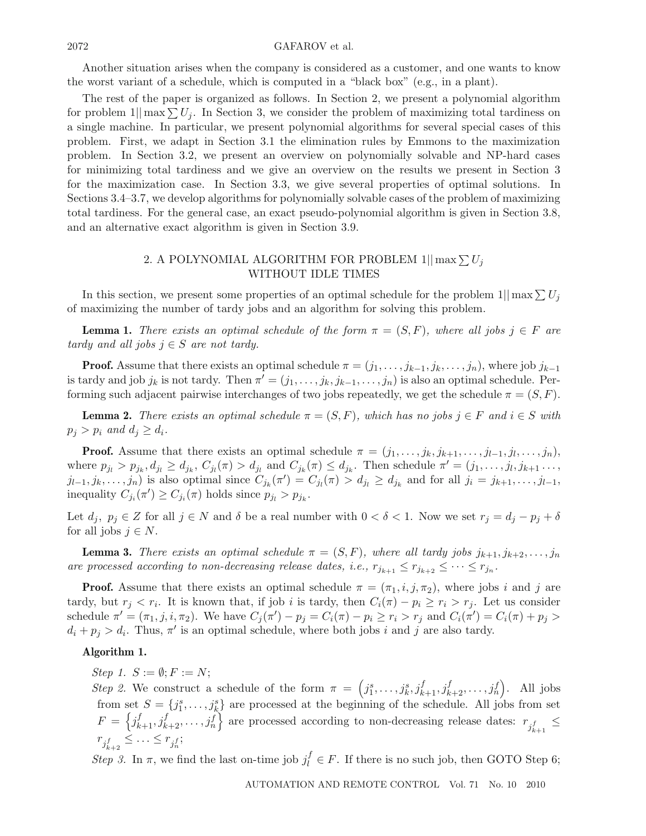#### $\text{GAFAROV et al.}$

Another situation arises when the company is considered as a customer, and one wants to know the worst variant of a schedule, which is computed in a "black box" (e.g., in a plant).

The rest of the paper is organized as follows. In Section 2, we present a polynomial algorithm for problem  $1|| \max \sum U_i$ . In Section 3, we consider the problem of maximizing total tardiness on a single machine. In particular, we present polynomial algorithms for several special cases of this problem. First, we adapt in Section 3.1 the elimination rules by Emmons to the maximization problem. In Section 3.2, we present an overview on polynomially solvable and NP-hard cases for minimizing total tardiness and we give an overview on the results we present in Section 3 for the maximization case. In Section 3.3, we give several properties of optimal solutions. In Sections 3.4–3.7, we develop algorithms for polynomially solvable cases of the problem of maximizing total tardiness. For the general case, an exact pseudo-polynomial algorithm is given in Section 3.8, and an alternative exact algorithm is given in Section 3.9.

# 2. A POLYNOMIAL ALGORITHM FOR PROBLEM  $1$ || max  $\sum U_j$ WITHOUT IDLE TIMES

In this section, we present some properties of an optimal schedule for the problem  $1||\max \sum U_j$ of maximizing the number of tardy jobs and an algorithm for solving this problem.

**Lemma 1.** *There exists an optimal schedule of the form*  $\pi = (S, F)$ *, where all jobs*  $j \in F$  *are tardy and all jobs*  $j \in S$  *are not tardy.* 

**Proof.** Assume that there exists an optimal schedule  $\pi = (j_1, \ldots, j_{k-1}, j_k, \ldots, j_n)$ , where job  $j_{k-1}$ is tardy and job  $j_k$  is not tardy. Then  $\pi' = (j_1, \ldots, j_k, j_{k-1}, \ldots, j_n)$  is also an optimal schedule. Performing such adjacent pairwise interchanges of two jobs repeatedly, we get the schedule  $\pi = (S, F)$ .

**Lemma 2.** *There exists an optimal schedule*  $\pi = (S, F)$ *, which has no jobs*  $j \in F$  *and*  $i \in S$  *with*  $p_j > p_i$  and  $d_j \geq d_i$ .

**Proof.** Assume that there exists an optimal schedule  $\pi = (j_1, \ldots, j_k, j_{k+1}, \ldots, j_{l-1}, j_l, \ldots, j_n)$ , where  $p_{j_l} > p_{j_k}, d_{j_l} \geq d_{j_k}, C_{j_l}(\pi) > d_{j_l}$  and  $C_{j_k}(\pi) \leq d_{j_k}$ . Then schedule  $\pi' = (j_1, \ldots, j_l, j_{k+1}, \ldots, j_l)$  $j_{l-1}, j_k, \ldots, j_n$  is also optimal since  $C_{j_k}(\pi') = C_{j_l}(\pi) > d_{j_l} \ge d_{j_k}$  and for all  $j_i = j_{k+1}, \ldots, j_{l-1}$ , inequality  $C_{j_i}(\pi') \geq C_{j_i}(\pi)$  holds since  $p_{j_i} > p_{j_k}$ .

Let  $d_j$ ,  $p_j \in Z$  for all  $j \in N$  and  $\delta$  be a real number with  $0 < \delta < 1$ . Now we set  $r_j = d_j - p_j + \delta$ for all jobs  $j \in N$ .

**Lemma 3.** *There exists an optimal schedule*  $\pi = (S, F)$ *, where all tardy jobs*  $j_{k+1}, j_{k+2}, \ldots, j_n$ *are processed according to non-decreasing release dates, i.e.,*  $r_{j_{k+1}} \leq r_{j_{k+2}} \leq \cdots \leq r_{j_n}$ .

**Proof.** Assume that there exists an optimal schedule  $\pi = (\pi_1, i, j, \pi_2)$ , where jobs i and j are tardy, but  $r_j < r_i$ . It is known that, if job i is tardy, then  $C_i(\pi) - p_i \ge r_i > r_j$ . Let us consider schedule  $\pi' = (\pi_1, j, i, \pi_2)$ . We have  $C_j(\pi') - p_j = C_i(\pi) - p_i \ge r_i > r_j$  and  $C_i(\pi') = C_i(\pi) + p_j >$  $d_i + p_j > d_i$ . Thus,  $\pi'$  is an optimal schedule, where both jobs i and j are also tardy.

#### **Algorithm 1.**

*Step 1.*  $S := \emptyset$ ;  $F := N$ ;

*Step 2.* We construct a schedule of the form  $\pi = (j_1^s, \ldots, j_k^s, j_{k+1}^f, j_{k+2}^f, \ldots, j_n^f)$ . All jobs from set  $S = \{j_1^s, \ldots, j_k^s\}$  are processed at the beginning of the schedule. All jobs from set  $F = \left\{ j_{k+1}^f, j_{k+2}^f, \ldots, j_n^f \right\}$  are processed according to non-decreasing release dates:  $r_{j_{k+1}^f} \leq$  $r_{j_{k+2}^f} \leq \ldots \leq r_{j_n^f};$ 

*Step 3.* In  $\pi$ , we find the last on-time job  $j_l^f \in F$ . If there is no such job, then GOTO Step 6;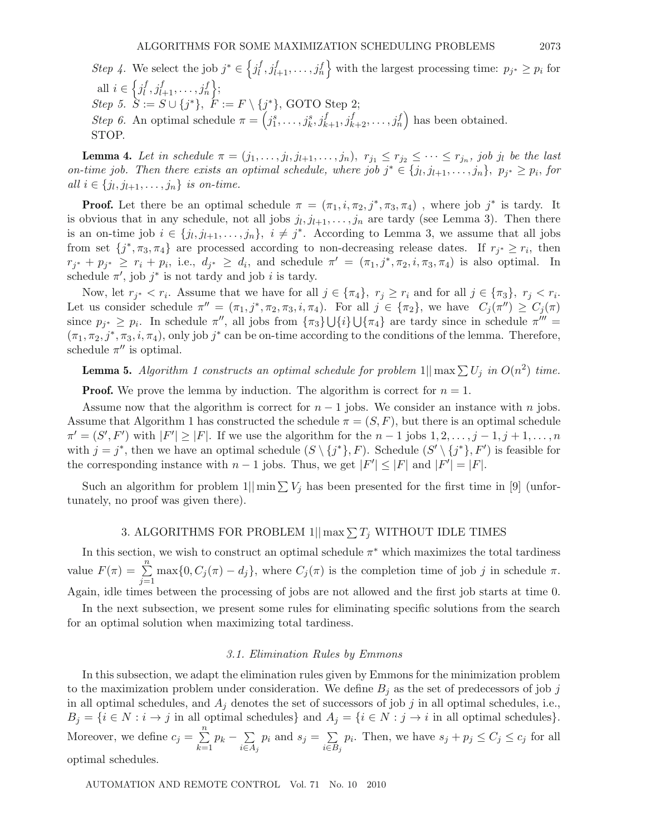*Step 4*. We select the job  $j^* \in \left\{ j_l^f, j_{l+1}^f, \ldots, j_n^f \right\}$  with the largest processing time:  $p_{j^*} \geq p_i$  for all  $i \in \left\{ j_l^f, j_{l+1}^f, \ldots, j_n^f \right\};$  $Step 5. \tilde{S} := S \cup \{j^*\}, \tilde{F} := F \setminus \{j^*\}, \text{GOTO Step 2};$ *Step 6.* An optimal schedule  $\pi = \left(j_1^s, \ldots, j_k^s, j_{k+1}^f, j_{k+2}^f, \ldots, j_n^f\right)$  has been obtained. STOP.

**Lemma 4.** Let in schedule  $\pi = (j_1, \ldots, j_l, j_{l+1}, \ldots, j_n), r_{j_1} \leq r_{j_2} \leq \cdots \leq r_{j_n}$ , job j<sub>l</sub> be the last *on-time job. Then there exists an optimal schedule, where job*  $j^* \in \{j_l, j_{l+1}, \ldots, j_n\}$ ,  $p_{j^*} \geq p_i$ , *for all*  $i \in \{j_l, j_{l+1}, \ldots, j_n\}$  *is on-time.* 

**Proof.** Let there be an optimal schedule  $\pi = (\pi_1, i, \pi_2, j^*, \pi_3, \pi_4)$ , where job  $j^*$  is tardy. It is obvious that in any schedule, not all jobs  $j_l, j_{l+1},\ldots,j_n$  are tardy (see Lemma 3). Then there is an on-time job  $i \in \{j_l, j_{l+1}, \ldots, j_n\}, i \neq j^*$ . According to Lemma 3, we assume that all jobs from set  $\{j^*, \pi_3, \pi_4\}$  are processed according to non-decreasing release dates. If  $r_{j^*} \geq r_i$ , then  $r_{i^*} + p_{i^*} \ge r_i + p_i$ , i.e.,  $d_{i^*} \ge d_i$ , and schedule  $\pi' = (\pi_1, j^*, \pi_2, i, \pi_3, \pi_4)$  is also optimal. In schedule  $\pi'$ , job  $j^*$  is not tardy and job i is tardy.

Now, let  $r_{j^*} < r_i$ . Assume that we have for all  $j \in {\lbrace \pi_4 \rbrace}, r_j \geq r_i$  and for all  $j \in {\lbrace \pi_3 \rbrace}, r_j < r_i$ . Let us consider schedule  $\pi'' = (\pi_1, j^*, \pi_2, \pi_3, i, \pi_4)$ . For all  $j \in {\pi_2}$ , we have  $C_j(\pi'') \geq C_j(\pi)$ since  $p_{j^*} \geq p_i$ . In schedule  $\pi''$ , all jobs from  $\{\pi_3\} \cup \{i\} \cup \{\pi_4\}$  are tardy since in schedule  $\pi''' =$  $(\pi_1, \pi_2, j^*, \pi_3, i, \pi_4)$ , only job  $j^*$  can be on-time according to the conditions of the lemma. Therefore, schedule  $\pi''$  is optimal.

# **Lemma 5.** Algorithm 1 constructs an optimal schedule for problem  $1||\max \sum U_j$  in  $O(n^2)$  time.

**Proof.** We prove the lemma by induction. The algorithm is correct for  $n = 1$ .

Assume now that the algorithm is correct for  $n-1$  jobs. We consider an instance with n jobs. Assume that Algorithm 1 has constructed the schedule  $\pi = (S, F)$ , but there is an optimal schedule  $\pi' = (S', F')$  with  $|F'| \geq |F|$ . If we use the algorithm for the  $n-1$  jobs  $1, 2, \ldots, j-1, j+1, \ldots, n$ with  $j = j^*$ , then we have an optimal schedule  $(S \setminus \{j^*\}, F)$ . Schedule  $(S' \setminus \{j^*\}, F')$  is feasible for the corresponding instance with  $n-1$  jobs. Thus, we get  $|F'| \leq |F|$  and  $|F'| = |F|$ .

Such an algorithm for problem  $1||\min \sum V_i$  has been presented for the first time in [9] (unfortunately, no proof was given there).

# 3. ALGORITHMS FOR PROBLEM  $1|| \max \sum T_j$  WITHOUT IDLE TIMES

In this section, we wish to construct an optimal schedule  $\pi^*$  which maximizes the total tardiness value  $F(\pi) = \sum_{n=1}^{\infty}$  $\sum_{j=1}$  $\max\{0, C_j(\pi) - d_j\},\$  where  $C_j(\pi)$  is the completion time of job j in schedule  $\pi$ . Again, idle times between the processing of jobs are not allowed and the first job starts at time 0.

In the next subsection, we present some rules for eliminating specific solutions from the search for an optimal solution when maximizing total tardiness.

#### *3.1. Elimination Rules by Emmons*

In this subsection, we adapt the elimination rules given by Emmons for the minimization problem to the maximization problem under consideration. We define  $B_j$  as the set of predecessors of job j in all optimal schedules, and  $A_j$  denotes the set of successors of job j in all optimal schedules, i.e.,  $B_j = \{i \in N : i \to j \text{ in all optimal schedules}\}$  and  $A_j = \{i \in N : j \to i \text{ in all optimal schedules}\}.$ Moreover, we define  $c_j = \sum^n$  $\sum_{k=1}$  $p_k - \sum$  $i\overline{\in}A_j$  $p_i$  and  $s_j = \sum$  $i\overline{\in}B_j$  $p_i$ . Then, we have  $s_j + p_j \leq C_j \leq c_j$  for all optimal schedules.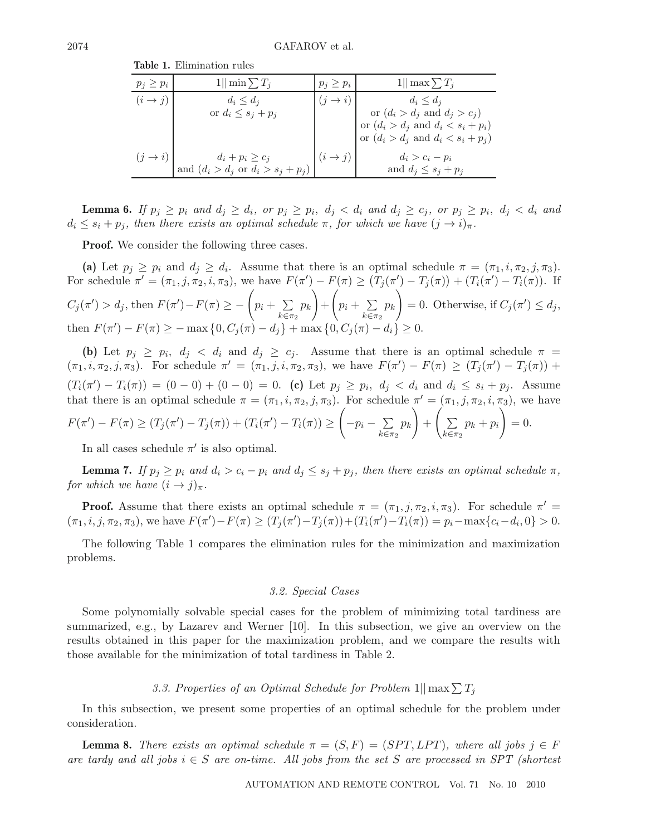| $p_j \geq p_i$      | $1  \min \sum T_i$                            | $p_j \geq p_i$      | $1  \max \sum T_i$                            |
|---------------------|-----------------------------------------------|---------------------|-----------------------------------------------|
| $(i \rightarrow j)$ | $d_i \leq d_j$                                | $(i \rightarrow i)$ | $d_i \leq d_j$                                |
|                     | or $d_i \leq s_j + p_j$                       |                     | or $(d_i > d_j \text{ and } d_j > c_j)$       |
|                     |                                               |                     | or $(d_i > d_j \text{ and } d_i < s_i + p_i)$ |
|                     |                                               |                     | or $(d_i > d_j \text{ and } d_i < s_i + p_j)$ |
| $(j \rightarrow i)$ | $d_i+p_i\geq c_j$                             | $(i \rightarrow j)$ | $d_i > c_i - p_i$                             |
|                     | and $(d_i > d_j \text{ or } d_i > s_j + p_j)$ |                     | and $d_j \leq s_j + p_j$                      |

**Table 1.** Elimination rules

**Lemma 6.** *If*  $p_j \geq p_i$  and  $d_j \geq d_i$ , or  $p_j \geq p_i$ ,  $d_j < d_i$  and  $d_j \geq c_j$ , or  $p_j \geq p_i$ ,  $d_j < d_i$  and  $d_i \leq s_i + p_j$ , then there exists an optimal schedule  $\pi$ , for which we have  $(j \to i)_{\pi}$ .

**Proof.** We consider the following three cases.

(a) Let  $p_j \geq p_i$  and  $d_j \geq d_i$ . Assume that there is an optimal schedule  $\pi = (\pi_1, i, \pi_2, j, \pi_3)$ . For schedule  $\pi' = (\pi_1, j, \pi_2, i, \pi_3)$ , we have  $F(\pi') - F(\pi) \ge (T_j(\pi') - T_j(\pi)) + (T_i(\pi') - T_i(\pi))$ . If  $C_i(\pi') > d_i$ , then  $F(\pi') - F(\pi) \ge -\left(p_i + \sum_{i=1}^{n} d_i\pi' - \sum_{i=1}^{n} d_i\pi'\right)$  $k \overline{\epsilon} \pi_2$  $p_k$  $+$  $\Big( p_i + \sum_{i=1}^n p_i \Big)$  $k \equiv \pi_2$  $p_k$  = 0. Otherwise, if  $C_i(\pi') \leq d_i$ , then  $F(\pi') - F(\pi) \ge -\max\{0, C_i(\pi) - d_i\} + \max\{0, C_i(\pi) - d_i\} \ge 0.$ 

**(b)** Let  $p_j \geq p_i$ ,  $d_j < d_i$  and  $d_j \geq c_j$ . Assume that there is an optimal schedule  $\pi$  $(\pi_1, i, \pi_2, j, \pi_3)$ . For schedule  $\pi' = (\pi_1, j, i, \pi_2, \pi_3)$ , we have  $F(\pi') - F(\pi) \ge (T_j(\pi') - T_j(\pi))$  +  $(T_i(\pi') - T_i(\pi)) = (0 - 0) + (0 - 0) = 0$ . (c) Let  $p_j \geq p_i$ ,  $d_j < d_i$  and  $d_i \leq s_i + p_j$ . Assume that there is an optimal schedule  $\pi = (\pi_1, i, \pi_2, j, \pi_3)$ . For schedule  $\pi' = (\pi_1, j, \pi_2, i, \pi_3)$ , we have  $F(\pi') - F(\pi) \ge (T_j(\pi') - T_j(\pi)) + (T_i(\pi') - T_i(\pi)) \ge \bigg(-p_i - \sum_{i=1}^j \pi_i\bigg)$  $k \overline{\epsilon} \pi_2$  $p_k$  $+\left(\sum\right.$  $k \overline{\epsilon} \pi_2$  $p_k + p_i$  $= 0.$ 

In all cases schedule  $\pi'$  is also optimal.

**Lemma 7.** *If*  $p_j \geq p_i$  *and*  $d_i > c_i - p_i$  *and*  $d_j \leq s_j + p_j$ *, then there exists an optimal schedule*  $\pi$ *, for which we have*  $(i \rightarrow j)_{\pi}$ *.* 

**Proof.** Assume that there exists an optimal schedule  $\pi = (\pi_1, j, \pi_2, i, \pi_3)$ . For schedule  $\pi' =$  $(\pi_1, i, j, \pi_2, \pi_3)$ , we have  $F(\pi') - F(\pi) \ge (T_j(\pi') - T_j(\pi)) + (T_i(\pi') - T_i(\pi)) = p_i - \max\{c_i - d_i, 0\} > 0$ .

The following Table 1 compares the elimination rules for the minimization and maximization problems.

### *3.2. Special Cases*

Some polynomially solvable special cases for the problem of minimizing total tardiness are summarized, e.g., by Lazarev and Werner [10]. In this subsection, we give an overview on the results obtained in this paper for the maximization problem, and we compare the results with those available for the minimization of total tardiness in Table 2.

# 3.3. Properties of an Optimal Schedule for Problem  $1||\max \sum T_i$

In this subsection, we present some properties of an optimal schedule for the problem under consideration.

**Lemma 8.** *There exists an optimal schedule*  $\pi = (S, F) = (SPT, LPT)$ *, where all jobs*  $j \in F$ *are tardy and all jobs* i ∈ S *are on-time. All jobs from the set* S *are processed in SPT (shortest*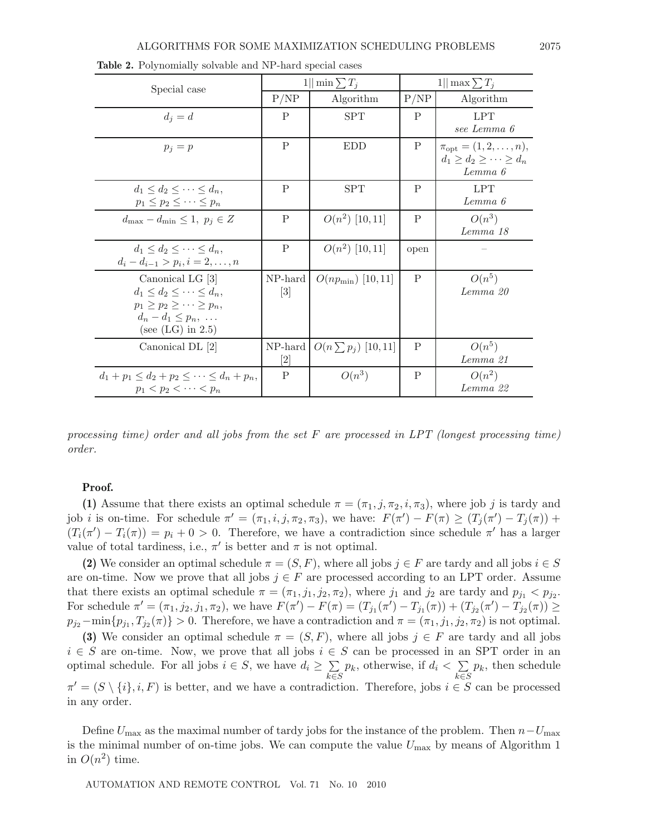| Special case                                                                                                                                 | 1   min $\sum T_j$          |                          | $1  \max \sum T_i$ |                                                                                                          |
|----------------------------------------------------------------------------------------------------------------------------------------------|-----------------------------|--------------------------|--------------------|----------------------------------------------------------------------------------------------------------|
|                                                                                                                                              | P/NP                        | Algorithm                | P/NP               | Algorithm                                                                                                |
| $d_i = d$                                                                                                                                    | P                           | <b>SPT</b>               | P                  | <b>LPT</b>                                                                                               |
| $p_i = p$                                                                                                                                    | $\mathbf{P}$                | <b>EDD</b>               | P                  | see Lemma 6<br>$\pi_{\text{opt}} = (1, 2, \ldots, n),$<br>$d_1 \geq d_2 \geq \cdots \geq d_n$<br>Lemma 6 |
| $d_1 \leq d_2 \leq \cdots \leq d_n$<br>$p_1 \leq p_2 \leq \cdots \leq p_n$                                                                   | P                           | <b>SPT</b>               | P                  | <b>LPT</b><br>Lemma 6                                                                                    |
| $d_{\text{max}} - d_{\text{min}} \leq 1, p_j \in Z$                                                                                          | P                           | $O(n^2)$ [10, 11]        | P                  | $O(n^3)$<br>Lemma 18                                                                                     |
| $d_1 \leq d_2 \leq \cdots \leq d_n$ .<br>$d_i - d_{i-1} > p_i, i = 2, \ldots, n$                                                             | P                           | $O(n^2)$ [10, 11]        | open               |                                                                                                          |
| Canonical LG [3]<br>$d_1 \leq d_2 \leq \cdots \leq d_n$<br>$p_1 > p_2 > \cdots > p_n$<br>$d_n - d_1 \leq p_n, \ldots$<br>(see $(LG)$ in 2.5) | NP-hard<br>$\left[3\right]$ | $O(np_{\min})$ [10,11]   | P                  | $O(n^5)$<br>Lemma 20                                                                                     |
| Canonical DL [2]                                                                                                                             | $NP-hard$<br>$[2]$          | $O(n \sum p_i)$ [10, 11] | P                  | $O(n^5)$<br>Lemma 21                                                                                     |
| $d_1 + p_1 \leq d_2 + p_2 \leq \cdots \leq d_n + p_n,$<br>$p_1 < p_2 < \cdots < p_n$                                                         | P                           | $O(n^3)$                 | P                  | $O(n^2)$<br>Lemma 22                                                                                     |

**Table 2.** Polynomially solvable and NP-hard special cases

*processing time) order and all jobs from the set* F *are processed in LPT (longest processing time) order.*

#### **Proof.**

**(1)** Assume that there exists an optimal schedule  $\pi = (\pi_1, j, \pi_2, i, \pi_3)$ , where job j is tardy and job *i* is on-time. For schedule  $\pi' = (\pi_1, i, j, \pi_2, \pi_3)$ , we have:  $F(\pi') - F(\pi) \ge (T_j(\pi') - T_j(\pi))$  +  $(T_i(\pi') - T_i(\pi)) = p_i + 0 > 0$ . Therefore, we have a contradiction since schedule  $\pi'$  has a larger value of total tardiness, i.e.,  $\pi'$  is better and  $\pi$  is not optimal.

**(2)** We consider an optimal schedule  $\pi = (S, F)$ , where all jobs  $j \in F$  are tardy and all jobs  $i \in S$ are on-time. Now we prove that all jobs  $j \in F$  are processed according to an LPT order. Assume that there exists an optimal schedule  $\pi = (\pi_1, j_1, j_2, \pi_2)$ , where  $j_1$  and  $j_2$  are tardy and  $p_{j_1} < p_{j_2}$ . For schedule  $\pi' = (\pi_1, j_2, j_1, \pi_2)$ , we have  $F(\pi') - F(\pi) = (T_{j_1}(\pi') - T_{j_1}(\pi)) + (T_{j_2}(\pi') - T_{j_2}(\pi)) \ge$  $p_{j2}-\min\{p_{j1},T_{j2}(\pi)\}>0.$  Therefore, we have a contradiction and  $\pi=(\pi_1,j_1,j_2,\pi_2)$  is not optimal.

**(3)** We consider an optimal schedule  $\pi = (S, F)$ , where all jobs  $j \in F$  are tardy and all jobs  $i \in S$  are on-time. Now, we prove that all jobs  $i \in S$  can be processed in an SPT order in an optimal schedule. For all jobs  $i \in S$ , we have  $d_i \geq \sum$  $k\bar{\in}S$  $p_k$ , otherwise, if  $d_i < \sum$  $k\overline{\epsilon}S$  $p_k$ , then schedule  $\pi' = (S \setminus \{i\}, i, F)$  is better, and we have a contradiction. Therefore, jobs  $i \in S$  can be processed in any order.

Define  $U_{\text{max}}$  as the maximal number of tardy jobs for the instance of the problem. Then  $n-U_{\text{max}}$ is the minimal number of on-time jobs. We can compute the value  $U_{\text{max}}$  by means of Algorithm 1 in  $O(n^2)$  time.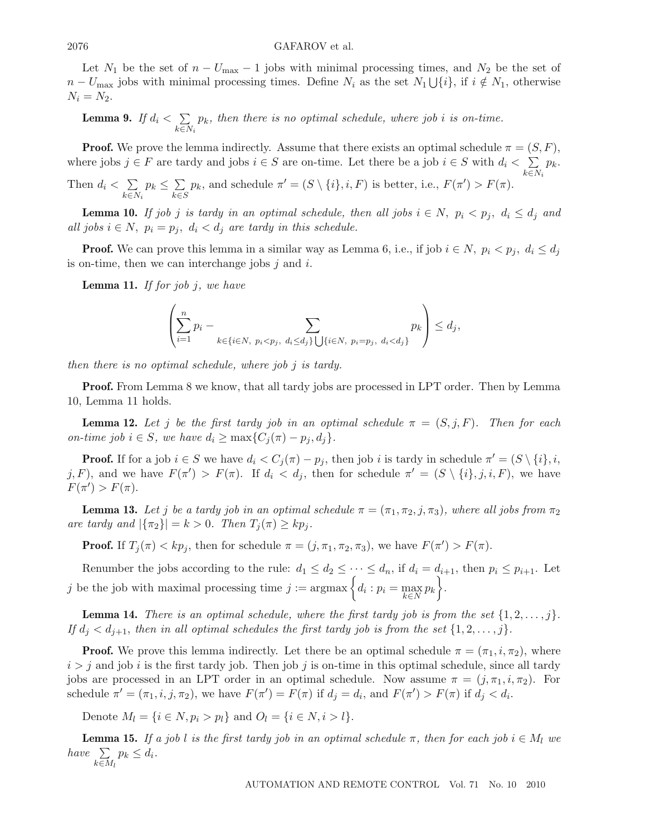#### $2076$  GAFAROV et al.

Let  $N_1$  be the set of  $n - U_{\text{max}} - 1$  jobs with minimal processing times, and  $N_2$  be the set of  $n-U_{\text{max}}$  jobs with minimal processing times. Define  $N_i$  as the set  $N_1 \bigcup \{i\}$ , if  $i \notin N_1$ , otherwise  $N_i = N_2$ .

**Lemma 9.** *If*  $d_i < \sum$  $k\overline{\in}N_i$ pk*, then there is no optimal schedule, where job* i *is on-time.*

**Proof.** We prove the lemma indirectly. Assume that there exists an optimal schedule  $\pi = (S, F)$ , where jobs  $j \in F$  are tardy and jobs  $i \in S$  are on-time. Let there be a job  $i \in S$  with  $d_i < \sum$  $k\overline{\in}N_i$  $p_k$ .

Then  $d_i < \sum$  $k\overline{\in}N_i$  $p_k \leq \sum$  $k\bar{\in}S$  $p_k$ , and schedule  $\pi' = (S \setminus \{i\}, i, F)$  is better, i.e.,  $F(\pi') > F(\pi)$ .

**Lemma 10.** *If job j is tardy in an optimal schedule, then all jobs*  $i \in N$ ,  $p_i < p_j$ ,  $d_i \leq d_j$  *and all jobs*  $i \in N$ ,  $p_i = p_j$ ,  $d_i < d_j$  *are tardy in this schedule.* 

**Proof.** We can prove this lemma in a similar way as Lemma 6, i.e., if job  $i \in N$ ,  $p_i < p_j$ ,  $d_i \leq d_j$ is on-time, then we can interchange jobs  $j$  and  $i$ .

**Lemma 11.** *If for job* j*, we have*

$$
\left(\sum_{i=1}^n p_i - \sum_{k \in \{i \in N, \ p_i < p_j, \ d_i \le d_j\}} \sum_{\{j \in N, \ p_i = p_j, \ d_i < d_j\}} p_k\right) \le d_j,
$$

*then there is no optimal schedule, where job* j *is tardy.*

**Proof.** From Lemma 8 we know, that all tardy jobs are processed in LPT order. Then by Lemma 10, Lemma 11 holds.

**Lemma 12.** Let j be the first tardy job in an optimal schedule  $\pi = (S, j, F)$ . Then for each *on-time job*  $i \in S$ *, we have*  $d_i \ge \max\{C_i(\pi) - p_i, d_i\}.$ 

**Proof.** If for a job  $i \in S$  we have  $d_i < C_j(\pi) - p_j$ , then job i is tardy in schedule  $\pi' = (S \setminus \{i\}, i, j)$ j, F), and we have  $F(\pi') > F(\pi)$ . If  $d_i < d_j$ , then for schedule  $\pi' = (S \setminus \{i\}, j, i, F)$ , we have  $F(\pi') > F(\pi).$ 

**Lemma 13.** Let j be a tardy job in an optimal schedule  $\pi = (\pi_1, \pi_2, j, \pi_3)$ , where all jobs from  $\pi_2$ *are tardy and*  $|\{\pi_2\}| = k > 0$ *. Then*  $T_j(\pi) \geq k p_j$ *.* 

**Proof.** If  $T_j(\pi) < kp_j$ , then for schedule  $\pi = (j, \pi_1, \pi_2, \pi_3)$ , we have  $F(\pi') > F(\pi)$ .

Renumber the jobs according to the rule:  $d_1 \leq d_2 \leq \cdots \leq d_n$ , if  $d_i = d_{i+1}$ , then  $p_i \leq p_{i+1}$ . Let j be the job with maximal processing time  $j := \operatorname{argmax} \left\{ d_i : p_i = \max_{k \in N} p_k \right\}$ .

**Lemma 14.** *There is an optimal schedule, where the first tardy job is from the set*  $\{1, 2, \ldots, j\}$ *. If*  $d_j < d_{j+1}$ , then in all optimal schedules the first tardy job is from the set  $\{1, 2, \ldots, j\}$ .

**Proof.** We prove this lemma indirectly. Let there be an optimal schedule  $\pi = (\pi_1, i, \pi_2)$ , where  $i>j$  and job i is the first tardy job. Then job j is on-time in this optimal schedule, since all tardy jobs are processed in an LPT order in an optimal schedule. Now assume  $\pi = (j, \pi_1, i, \pi_2)$ . For schedule  $\pi' = (\pi_1, i, j, \pi_2)$ , we have  $F(\pi') = F(\pi)$  if  $d_j = d_i$ , and  $F(\pi') > F(\pi)$  if  $d_j < d_i$ .

Denote  $M_l = \{i \in N, p_i > p_l\}$  and  $O_l = \{i \in N, i > l\}.$ 

**Lemma 15.** *If a job l is the first tardy job in an optimal schedule*  $\pi$ , *then for each job*  $i \in M_l$  *we have*  $\Sigma$  $k\overline{\in}M_l$  $p_k \leq d_i$ .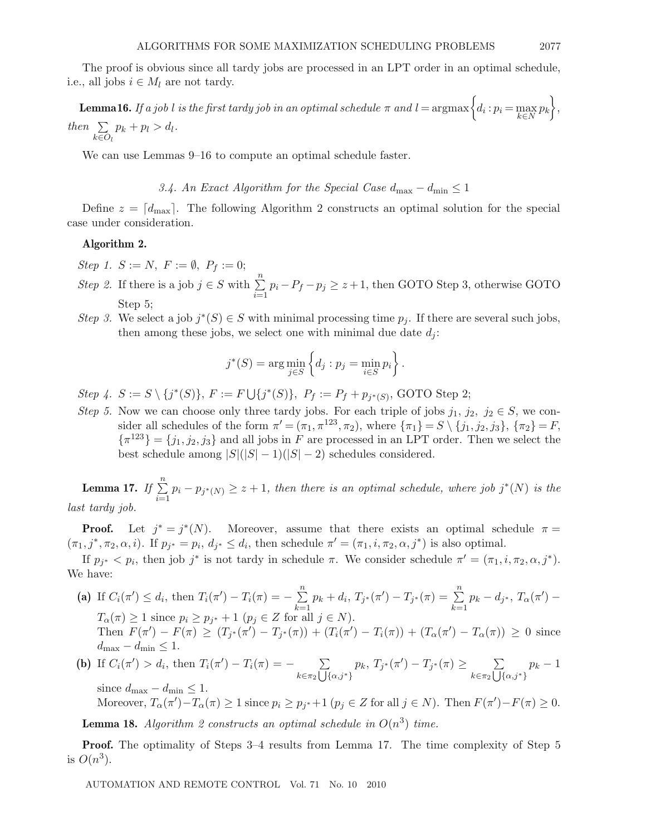$\textbf{Lemma 16.} \ If \ a \ job \ l \ is \ the \ first \ tary \ job \ in \ an \ optimal \ schedule \ \pi \ and \ l = \text{argmax} \left\{ d_i : p_i = \max_{k \in N} p_k \right\},$ *then*  $\Sigma$  $k\equiv O_l$  $p_k + p_l > d_l.$ 

We can use Lemmas 9–16 to compute an optimal schedule faster.

*3.4.* An Exact Algorithm for the Special Case  $d_{\text{max}} - d_{\text{min}} \leq 1$ 

Define  $z = [d_{\text{max}}]$ . The following Algorithm 2 constructs an optimal solution for the special case under consideration.

### **Algorithm 2.**

*Step 1.*  $S := N$ ,  $F := \emptyset$ ,  $P_f := 0$ ;

- *Step 2.* If there is a job  $j \in S$  with  $\sum_{i=1}^{n}$  $\sum_{i=1}$  $p_i - P_f - p_j \geq z + 1$ , then GOTO Step 3, otherwise GOTO Step 5;
- *Step 3.* We select a job  $j^*(S) \in S$  with minimal processing time  $p_j$ . If there are several such jobs, then among these jobs, we select one with minimal due date  $d_i$ :

$$
j^*(S) = \arg\min_{j \in S} \left\{ d_j : p_j = \min_{i \in S} p_i \right\}.
$$

*Step 4.*  $S := S \setminus \{j^*(S)\}, F := F \cup \{j^*(S)\}, P_f := P_f + p_{j^*(S)},$  GOTO Step 2;

*Step 5.* Now we can choose only three tardy jobs. For each triple of jobs  $j_1, j_2, j_2 \in S$ , we consider all schedules of the form  $\pi' = (\pi_1, \pi^{123}, \pi_2)$ , where  ${\{\pi_1\}} = S \setminus {\{j_1, j_2, j_3\}}$ ,  ${\{\pi_2\}} = F$ ,  ${\pi}^{123} = {j_1, j_2, j_3}$  and all jobs in F are processed in an LPT order. Then we select the best schedule among  $|S|(|S|-1)(|S|-2)$  schedules considered.

**Lemma 17.** *If*  $\sum$ n  $\sum_{i=1}^{n} p_i - p_{j^*(N)} \geq z + 1$ , then there is an optimal schedule, where job j<sup>\*</sup>(N) is the *last tardy job.*

**Proof.** Let  $j^* = j^*(N)$ . Moreover, assume that there exists an optimal schedule  $\pi =$  $(\pi_1, j^*, \pi_2, \alpha, i)$ . If  $p_{j^*} = p_i$ ,  $d_{j^*} \leq d_i$ , then schedule  $\pi' = (\pi_1, i, \pi_2, \alpha, j^*)$  is also optimal.

If  $p_{i^*} < p_i$ , then job j<sup>\*</sup> is not tardy in schedule  $\pi$ . We consider schedule  $\pi' = (\pi_1, i, \pi_2, \alpha, j^*)$ . We have:

- (a) If  $C_i(\pi') \leq d_i$ , then  $T_i(\pi') T_i(\pi) = -\sum_{i=1}^{n}$  $\sum_{k=1}$  $p_k + d_i, T_{j^*}(\pi') - T_{j^*}(\pi) = \sum_{i=1}^n$  $\sum_{k=1}$  $p_k - d_{j^*}, T_{\alpha}(\pi') T_{\alpha}(\pi) \geq 1$  since  $p_i \geq p_{j^*} + 1$   $(p_j \in Z \text{ for all } j \in N)$ . Then  $F(\pi') - F(\pi) \ge (T_{i^*}(\pi') - T_{i^*}(\pi)) + (T_i(\pi') - T_i(\pi)) + (T_\alpha(\pi') - T_\alpha(\pi)) \ge 0$  since  $d_{\text{max}} - d_{\text{min}} \leq 1.$
- (**b**) If  $C_i(\pi') > d_i$ , then  $T_i(\pi') T_i(\pi) = \sum$  $k \in \pi_2 \bigcup {\{\alpha, j^*\}}$  $p_k, T_{j^*}(\pi') - T_{j^*}(\pi) \geq \sum$  $k \in \pi_2 \bigcup {\{\alpha, j^*\}}$  $p_k - 1$ since  $d_{\text{max}} - d_{\text{min}} \leq 1$ .

Moreover,  $T_{\alpha}(\pi') - T_{\alpha}(\pi) \ge 1$  since  $p_i \ge p_{i^*} + 1$   $(p_i \in Z$  for all  $j \in N$ ). Then  $F(\pi') - F(\pi) \ge 0$ .

**Lemma 18.** *Algorithm 2 constructs an optimal schedule in*  $O(n^3)$  *time.* 

**Proof.** The optimality of Steps 3–4 results from Lemma 17. The time complexity of Step 5 is  $O(n^3)$ .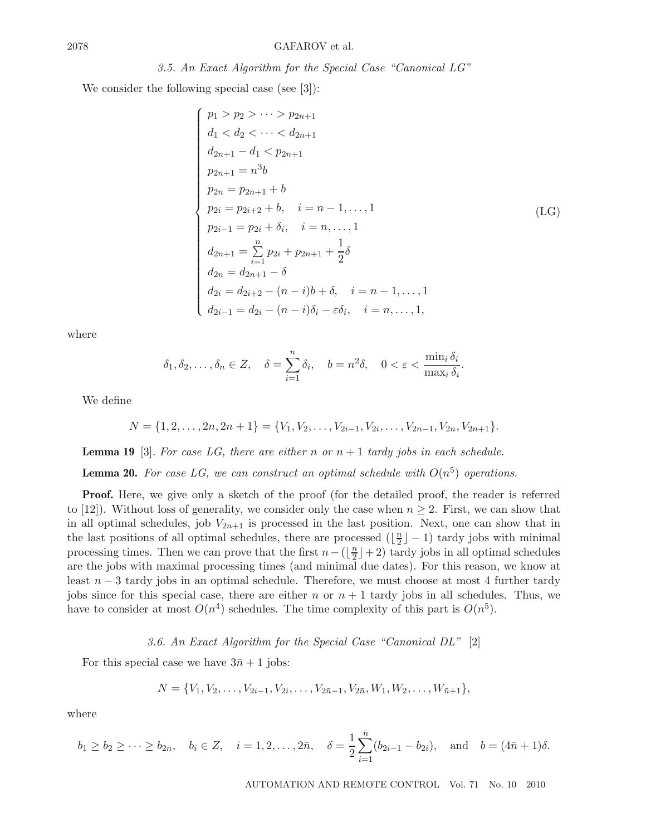We consider the following special case (see [3]):

$$
\begin{cases}\np_1 > p_2 > \dots > p_{2n+1} \\
d_1 < d_2 < \dots < d_{2n+1} \\
d_{2n+1} - d_1 < p_{2n+1} \\
p_{2n+1} = n^3 b \\
p_{2n} = p_{2n+1} + b \\
p_{2i} = p_{2i+2} + b, \quad i = n-1, \dots, 1 \\
p_{2i-1} = p_{2i} + \delta_i, \quad i = n, \dots, 1 \\
d_{2n+1} = \sum_{i=1}^n p_{2i} + p_{2n+1} + \frac{1}{2} \delta \\
d_{2n} = d_{2n+1} - \delta \\
d_{2i} = d_{2i+2} - (n-i)b + \delta, \quad i = n-1, \dots, 1 \\
d_{2i-1} = d_{2i} - (n-i)\delta_i - \varepsilon \delta_i, \quad i = n, \dots, 1,\n\end{cases} (LG)
$$

where

$$
\delta_1, \delta_2, \ldots, \delta_n \in Z, \quad \delta = \sum_{i=1}^n \delta_i, \quad b = n^2 \delta, \quad 0 < \varepsilon < \frac{\min_i \delta_i}{\max_i \delta_i}.
$$

We define

 $N = \{1, 2, \ldots, 2n, 2n + 1\} = \{V_1, V_2, \ldots, V_{2i-1}, V_{2i}, \ldots, V_{2n-1}, V_{2n}, V_{2n+1}\}.$ 

**Lemma 19** [3]. For case LG, there are either n or  $n + 1$  tardy jobs in each schedule.

**Lemma 20.** For case LG, we can construct an optimal schedule with  $O(n^5)$  operations.

**Proof.** Here, we give only a sketch of the proof (for the detailed proof, the reader is referred to [12]). Without loss of generality, we consider only the case when  $n \geq 2$ . First, we can show that in all optimal schedules, job  $V_{2n+1}$  is processed in the last position. Next, one can show that in the last positions of all optimal schedules, there are processed  $(\lfloor \frac{n}{2} \rfloor - 1)$  tardy jobs with minimal processing times. Then we can prove that the first  $n - (\lfloor \frac{n}{2} \rfloor + 2)$  tardy jobs in all optimal schedules are the jobs with maximal processing times (and minimal due dates). For this reason, we know at least  $n-3$  tardy jobs in an optimal schedule. Therefore, we must choose at most 4 further tardy jobs since for this special case, there are either n or  $n + 1$  tardy jobs in all schedules. Thus, we have to consider at most  $O(n^4)$  schedules. The time complexity of this part is  $O(n^5)$ .

### *3.6. An Exact Algorithm for the Special Case "Canonical DL"* [2]

For this special case we have  $3\bar{n} + 1$  jobs:

$$
N = \{V_1, V_2, \dots, V_{2i-1}, V_{2i}, \dots, V_{2\bar{n}-1}, V_{2\bar{n}}, W_1, W_2, \dots, W_{\bar{n}+1}\},\
$$

where

$$
b_1 \ge b_2 \ge \cdots \ge b_{2\bar{n}}, \quad b_i \in Z, \quad i = 1, 2, \ldots, 2\bar{n}, \quad \delta = \frac{1}{2} \sum_{i=1}^{\bar{n}} (b_{2i-1} - b_{2i}), \quad \text{and} \quad b = (4\bar{n} + 1)\delta.
$$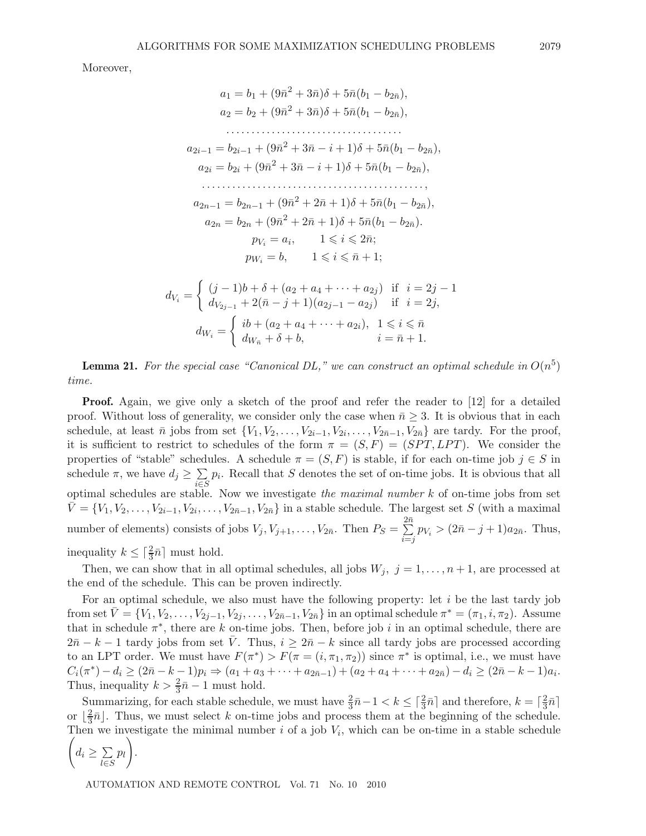Moreover,

$$
a_1 = b_1 + (9\bar{n}^2 + 3\bar{n})\delta + 5\bar{n}(b_1 - b_{2\bar{n}}),
$$
  
\n
$$
a_2 = b_2 + (9\bar{n}^2 + 3\bar{n})\delta + 5\bar{n}(b_1 - b_{2\bar{n}}),
$$
  
\n
$$
\dots
$$
  
\n
$$
a_{2i-1} = b_{2i-1} + (9\bar{n}^2 + 3\bar{n} - i + 1)\delta + 5\bar{n}(b_1 - b_{2\bar{n}}),
$$
  
\n
$$
a_{2i} = b_{2i} + (9\bar{n}^2 + 3\bar{n} - i + 1)\delta + 5\bar{n}(b_1 - b_{2\bar{n}}),
$$
  
\n
$$
\dots
$$
  
\n
$$
a_{2n-1} = b_{2n-1} + (9\bar{n}^2 + 2\bar{n} + 1)\delta + 5\bar{n}(b_1 - b_{2\bar{n}}),
$$
  
\n
$$
a_{2n} = b_{2n} + (9\bar{n}^2 + 2\bar{n} + 1)\delta + 5\bar{n}(b_1 - b_{2\bar{n}}),
$$
  
\n
$$
p_{V_i} = a_i, \quad 1 \leq i \leq 2\bar{n};
$$
  
\n
$$
p_{W_i} = b, \quad 1 \leq i \leq \bar{n} + 1;
$$
  
\n
$$
d_{V_i} = \begin{cases} (j-1)b + \delta + (a_2 + a_4 + \dots + a_{2j}) & \text{if } i = 2j - 1 \\ d_{V_{2j-1}} + 2(\bar{n} - j + 1)(a_{2j-1} - a_{2j}) & \text{if } i = 2j, \\ d_{W_i} = \begin{cases} ib + (a_2 + a_4 + \dots + a_{2i}), & 1 \leq i \leq \bar{n} \\ d_{W_i} + \delta + b, & i = \bar{n} + 1. \end{cases}
$$

**Lemma 21.** For the special case "Canonical DL," we can construct an optimal schedule in  $O(n^5)$ *time.*

**Proof.** Again, we give only a sketch of the proof and refer the reader to [12] for a detailed proof. Without loss of generality, we consider only the case when  $\bar{n} \geq 3$ . It is obvious that in each schedule, at least  $\bar{n}$  jobs from set  $\{V_1, V_2, \ldots, V_{2i-1}, V_{2i}, \ldots, V_{2\bar{n}-1}, V_{2\bar{n}}\}$  are tardy. For the proof, it is sufficient to restrict to schedules of the form  $\pi = (S, F) = (SPT, LPT)$ . We consider the properties of "stable" schedules. A schedule  $\pi = (S, F)$  is stable, if for each on-time job  $j \in S$  in schedule  $\pi$ , we have  $d_j \geq \sum$ i∈S  $p_i$ . Recall that S denotes the set of on-time jobs. It is obvious that all optimal schedules are stable. Now we investigate *the maximal number* k of on-time jobs from set  $V = \{V_1, V_2, \ldots, V_{2i-1}, V_{2i}, \ldots, V_{2\overline{n}-1}, V_{2\overline{n}}\}$  in a stable schedule. The largest set S (with a maximal number of elements) consists of jobs  $V_j, V_{j+1}, \ldots, V_{2\bar{n}}$ . Then  $P_S = \sum_{i=1}^{2\bar{n}}$  $\sum_{i=j}^{2n} p_{V_i} > (2\bar{n} - j + 1)a_{2\bar{n}}$ . Thus, inequality  $k \leq \lceil \frac{2}{3}\bar{n} \rceil$  must hold.

Then, we can show that in all optimal schedules, all jobs  $W_j$ ,  $j = 1, \ldots, n + 1$ , are processed at the end of the schedule. This can be proven indirectly.

For an optimal schedule, we also must have the following property: let  $i$  be the last tardy job from set  $V = \{V_1, V_2, \ldots, V_{2j-1}, V_{2j}, \ldots, V_{2n-1}, V_{2n}\}\$  in an optimal schedule  $\pi^* = (\pi_1, i, \pi_2)$ . Assume that in schedule  $\pi^*$ , there are k on-time jobs. Then, before job i in an optimal schedule, there are  $2\bar{n} - k - 1$  tardy jobs from set  $\bar{V}$ . Thus,  $i \geq 2\bar{n} - k$  since all tardy jobs are processed according to an LPT order. We must have  $F(\pi^*) > F(\pi = (i, \pi_1, \pi_2))$  since  $\pi^*$  is optimal, i.e., we must have  $C_i(\pi^*) - d_i \geq (2\bar{n} - k - 1)p_i \Rightarrow (a_1 + a_3 + \cdots + a_{2\bar{n}-1}) + (a_2 + a_4 + \cdots + a_{2\bar{n}}) - d_i \geq (2\bar{n} - k - 1)a_i.$ Thus, inequality  $k > \frac{2}{3}\bar{n} - 1$  must hold.

Summarizing, for each stable schedule, we must have  $\frac{2}{3}\bar{n}-1 < k \leq \lceil \frac{2}{3}\bar{n} \rceil$  and therefore,  $k = \lceil \frac{2}{3}\bar{n} \rceil$ or  $\lfloor \frac{2}{3}\bar{n} \rfloor$ . Thus, we must select k on-time jobs and process them at the beginning of the schedule. Then we investigate the minimal number i of a job  $V_i$ , which can be on-time in a stable schedule  $\Big(d_i \geq \sum$ l∈S  $p_l$ .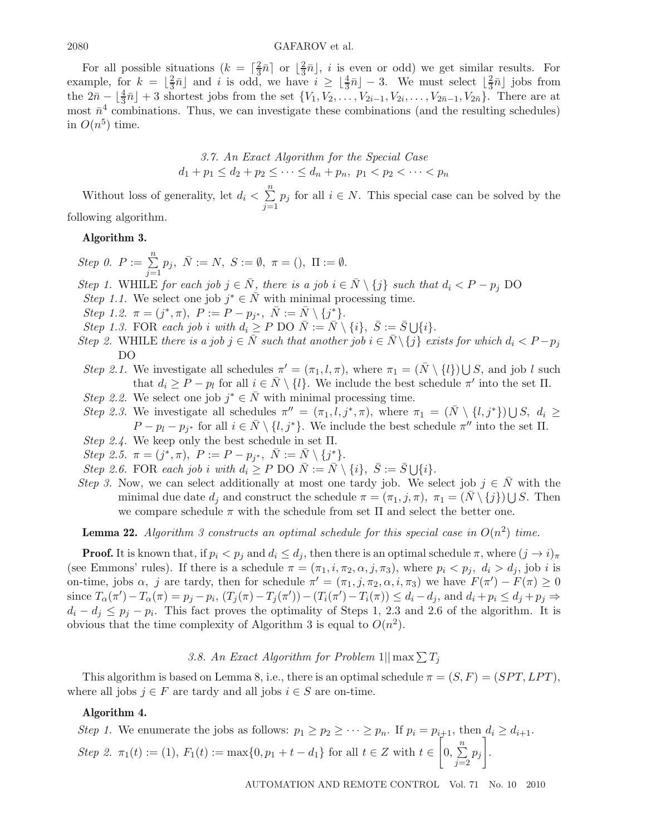#### $\text{GAFAROV et al.}$

For all possible situations  $(k = \lceil \frac{2}{3}\overline{n} \rceil$  or  $\lfloor \frac{2}{3}\overline{n} \rfloor$ , *i* is even or odd) we get similar results. For example, for  $k = \lfloor \frac{2}{3}\overline{n} \rfloor$  and i is odd, we have  $i \geq \lfloor \frac{4}{3}\overline{n} \rfloor - 3$ . We must select  $\lfloor \frac{2}{3}\overline{n} \rfloor$  jobs from the  $2\bar{n} - \lfloor \frac{4}{3}\bar{n} \rfloor + 3$  shortest jobs from the set  $\{V_1, V_2, \ldots, V_{2i-1}, V_{2i}, \ldots, V_{2\bar{n}-1}, V_{2\bar{n}}\}$ . There are at most  $\bar{n}^4$  combinations. Thus, we can investigate these combinations (and the resulting schedules) in  $O(n^5)$  time.

3.7. An Exact Algorithm for the Special Case 
$$
d_1 + p_1 \leq d_2 + p_2 \leq \cdots \leq d_n + p_n
$$
,  $p_1 < p_2 < \cdots < p_n$ 

Without loss of generality, let  $d_i < \sum_{i=1}^{n}$  $\sum_{j=1}$  $p_j$  for all  $i \in N$ . This special case can be solved by the

following algorithm.

# **Algorithm 3.**

*Step 0.*  $P := \sum^{n}$  $\sum_{j=1}$  $p_j, \overline{N} := N, S := \emptyset, \pi = ()$ ,  $\Pi := \emptyset$ .

*Step 1.* WHILE *for each job*  $j \in \overline{N}$ *, there is a job*  $i \in \overline{N} \setminus \{j\}$  *such that*  $d_i < P - p_j$  DO *Step 1.1.* We select one job  $j^* \in \overline{N}$  with minimal processing time.

*Step 1.2.*  $\pi = (j^*, \pi), P := P - p_{j^*}, \bar{N} := \bar{N} \setminus \{j^*\}.$ 

Step 1.3. FOR each job *i* with 
$$
d_i \geq P
$$
 DO  $\overline{N} := \overline{N} \setminus \{i\}, \ \overline{S} := \overline{S} \cup \{i\}.$ 

- *Step 2.* WHILE *there is a job*  $j \in \overline{N}$  *such that another job*  $i \in \overline{N} \setminus \{j\}$  *exists for which*  $d_i < P p_j$ DO
- *Step 2.1.* We investigate all schedules  $\pi' = (\pi_1, l, \pi)$ , where  $\pi_1 = (\bar{N} \setminus \{l\}) \cup S$ , and job l such that  $d_i \geq P - p_l$  for all  $i \in \bar{N} \setminus \{l\}$ . We include the best schedule  $\pi'$  into the set  $\Pi$ .
- *Step 2.2.* We select one job  $j^* \in \overline{N}$  with minimal processing time.
- *Step 2.3.* We investigate all schedules  $\pi'' = (\pi_1, l, j^*, \pi)$ , where  $\pi_1 = (\bar{N} \setminus \{l, j^*\}) \cup S$ ,  $d_i \ge$  $P - p_l - p_{j^*}$  for all  $i \in \overline{N} \setminus \{l, j^*\}$ . We include the best schedule  $\pi''$  into the set  $\Pi$ .
- *Step 2.4.* We keep only the best schedule in set Π.
- *Step 2.5.*  $\pi = (j^*, \pi)$ ,  $P := P p_{j^*}$ ,  $\bar{N} := \bar{N} \setminus \{j^*\}.$
- *Step 2.6.* FOR *each job* i *with*  $d_i \geq P$  DO  $\overline{N} := \overline{N} \setminus \{i\}, \ \overline{S} := \overline{S} \cup \{i\}.$
- *Step 3.* Now, we can select additionally at most one tardy job. We select job  $j \in N$  with the minimal due date  $d_j$  and construct the schedule  $\pi = (\pi_1, j, \pi)$ ,  $\pi_1 = (\bar{N} \setminus \{j\}) \cup S$ . Then we compare schedule  $\pi$  with the schedule from set  $\Pi$  and select the better one.

**Lemma 22.** *Algorithm 3 constructs an optimal schedule for this special case in*  $O(n^2)$  *time.* 

**Proof.** It is known that, if  $p_i < p_j$  and  $d_i \leq d_j$ , then there is an optimal schedule  $\pi$ , where  $(j \to i)_{\pi}$ (see Emmons' rules). If there is a schedule  $\pi = (\pi_1, i, \pi_2, \alpha, j, \pi_3)$ , where  $p_i < p_j$ ,  $d_i > d_j$ , job i is on-time, jobs  $\alpha$ , j are tardy, then for schedule  $\pi' = (\pi_1, j, \pi_2, \alpha, i, \pi_3)$  we have  $F(\pi') - F(\pi) \ge 0$ since  $T_{\alpha}(\pi') - T_{\alpha}(\pi) = p_j - p_i$ ,  $(T_j(\pi) - T_j(\pi')) - (T_i(\pi') - T_i(\pi)) \le d_i - d_j$ , and  $d_i + p_i \le d_j + p_j \Rightarrow$  $d_i - d_j \leq p_i - p_i$ . This fact proves the optimality of Steps 1, 2.3 and 2.6 of the algorithm. It is obvious that the time complexity of Algorithm 3 is equal to  $O(n^2)$ .

# 3.8. An Exact Algorithm for Problem  $1||\max \sum T_j$

This algorithm is based on Lemma 8, i.e., there is an optimal schedule  $\pi = (S, F) = (SPT, LPT)$ , where all jobs  $j \in F$  are tardy and all jobs  $i \in S$  are on-time.

#### **Algorithm 4.**

*Step 1.* We enumerate the jobs as follows:  $p_1 \geq p_2 \geq \cdots \geq p_n$ . If  $p_i = p_{i+1}$ , then  $d_i \geq d_{i+1}$ . *Step 2.*  $\pi_1(t) := (1), F_1(t) := \max\{0, p_1 + t - d_1\}$  for all  $t \in Z$  with  $t \in \left[0, \sum_{i=1}^{n} d_i\right]$ n  $\sum_{j=2}$  $p_i$ .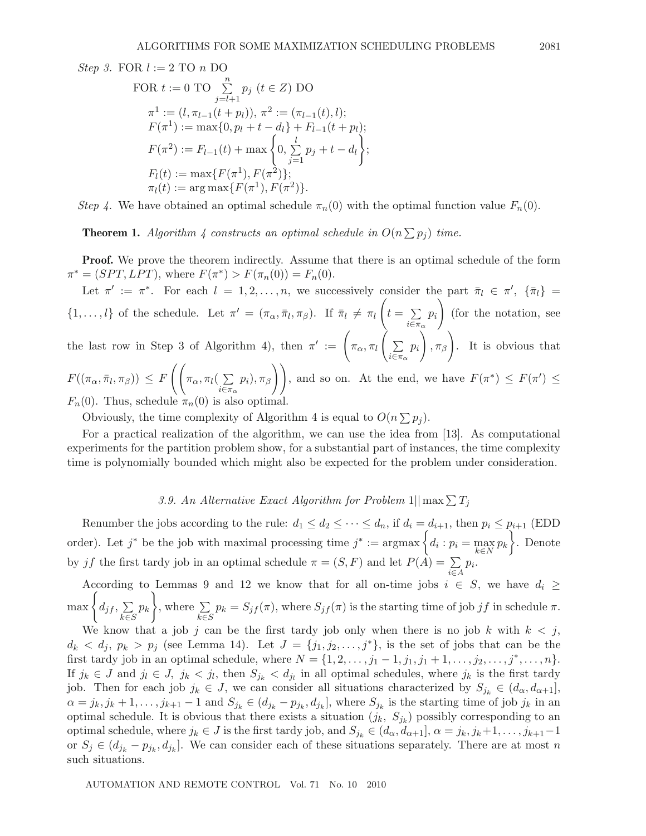*Step 3.* FOR  $l := 2$  TO n DO

FOR 
$$
t := 0
$$
 TO  $\sum_{j=l+1}^{n} p_j$   $(t \in Z)$  DO  
\n
$$
\pi^1 := (l, \pi_{l-1}(t + p_l)), \pi^2 := (\pi_{l-1}(t), l);
$$
\n
$$
F(\pi^1) := \max\{0, p_l + t - d_l\} + F_{l-1}(t + p_l);
$$
\n
$$
F(\pi^2) := F_{l-1}(t) + \max\left\{0, \sum_{j=1}^{l} p_j + t - d_l\right\};
$$
\n
$$
F_l(t) := \max\{F(\pi^1), F(\pi^2)\};
$$
\n
$$
\pi_l(t) := \arg\max\{F(\pi^1), F(\pi^2)\}.
$$

*Step 4.* We have obtained an optimal schedule  $\pi_n(0)$  with the optimal function value  $F_n(0)$ .

**Theorem 1.** Algorithm 4 constructs an optimal schedule in  $O(n \sum p_i)$  time.

**Proof.** We prove the theorem indirectly. Assume that there is an optimal schedule of the form  $\pi^* = (SPT, LPT)$ , where  $F(\pi^*) > F(\pi_n(0)) = F_n(0)$ .

Let  $\pi' := \pi^*$ . For each  $l = 1, 2, ..., n$ , we successively consider the part  $\bar{\pi}_l \in \pi'$ ,  $\{\bar{\pi}_l\}$  $\{1,\ldots,l\}$  of the schedule. Let  $\pi' = (\pi_\alpha, \bar{\pi}_l, \pi_\beta)$ . If  $\bar{\pi}_l \neq \pi_l \left(t = \sum_{i=1}^{\infty} \bar{\pi}_i\right)$  $\sum_{i\in\pi_{\alpha}}$  $p_i$ (for the notation, see the last row in Step 3 of Algorithm 4), then  $\pi' := \left( \pi_{\alpha}, \pi_{l} \right)$  $\sum_{i\in\pi_{\alpha}}$  $p_i\bigg\rceil, \pi_\beta\bigg\rceil$ . It is obvious that  $F((\pi_{\alpha},\bar{\pi}_l,\pi_{\beta})) \leq F\left(\bigg(\pi_{\alpha},\pi_l( \sum$  $i\widetilde{\in }\pi _{\alpha }$  $\{p_i, \pi_\beta\}\right),$  and so on. At the end, we have  $F(\pi^*) \leq F(\pi') \leq$  $F_n(0)$ . Thus, schedule  $\pi_n(0)$  is also optimal.

Obviously, the time complexity of Algorithm 4 is equal to  $O(n \sum p_i)$ .

For a practical realization of the algorithm, we can use the idea from [13]. As computational experiments for the partition problem show, for a substantial part of instances, the time complexity time is polynomially bounded which might also be expected for the problem under consideration.

3.9. An Alternative Exact Algorithm for Problem  $1||\max \sum T_i$ 

Renumber the jobs according to the rule:  $d_1 \leq d_2 \leq \cdots \leq d_n$ , if  $d_i = d_{i+1}$ , then  $p_i \leq p_{i+1}$  (EDD) order). Let  $j^*$  be the job with maximal processing time  $j^* := \operatorname{argmax}_{k \in N} \left\{ d_i : p_i = \max_{k \in N} p_k \right\}$ . Denote by jf the first tardy job in an optimal schedule  $\pi = (S, F)$  and let  $P(A) = \sum$ i∈A  $p_i$ .

According to Lemmas 9 and 12 we know that for all on-time jobs  $i \in S$ , we have  $d_i \geq$  $\max\left\{d_{if},\sum\right\}$  $k\bar{\in}S$  $p_k$ , where  $\Sigma$  $k\overline{\epsilon}S$  $p_k = S_{if}(\pi)$ , where  $S_{if}(\pi)$  is the starting time of job jf in schedule  $\pi$ .

We know that a job j can be the first tardy job only when there is no job k with  $k < j$ ,  $d_k < d_j$ ,  $p_k > p_j$  (see Lemma 14). Let  $J = \{j_1, j_2, \ldots, j^*\}$ , is the set of jobs that can be the first tardy job in an optimal schedule, where  $N = \{1, 2, \ldots, j_1 - 1, j_1, j_1 + 1, \ldots, j_2, \ldots, j^*, \ldots, n\}.$ If  $j_k \in J$  and  $j_l \in J$ ,  $j_k < j_l$ , then  $S_{j_k} < d_{j_l}$  in all optimal schedules, where  $j_k$  is the first tardy job. Then for each job  $j_k \in J$ , we can consider all situations characterized by  $S_{j_k} \in (d_{\alpha}, d_{\alpha+1}]$ ,  $\alpha = j_k, j_k + 1, \ldots, j_{k+1} - 1$  and  $S_{j_k} \in (d_{j_k} - p_{j_k}, d_{j_k}]$ , where  $S_{j_k}$  is the starting time of job  $j_k$  in an optimal schedule. It is obvious that there exists a situation  $(j_k, S_{j_k})$  possibly corresponding to an optimal schedule, where  $j_k \in J$  is the first tardy job, and  $S_{j_k} \in (d_\alpha, d_{\alpha+1}], \alpha = j_k, j_k+1, \ldots, j_{k+1}-1$ or  $S_j \in (d_{j_k} - p_{j_k}, d_{j_k}]$ . We can consider each of these situations separately. There are at most n such situations.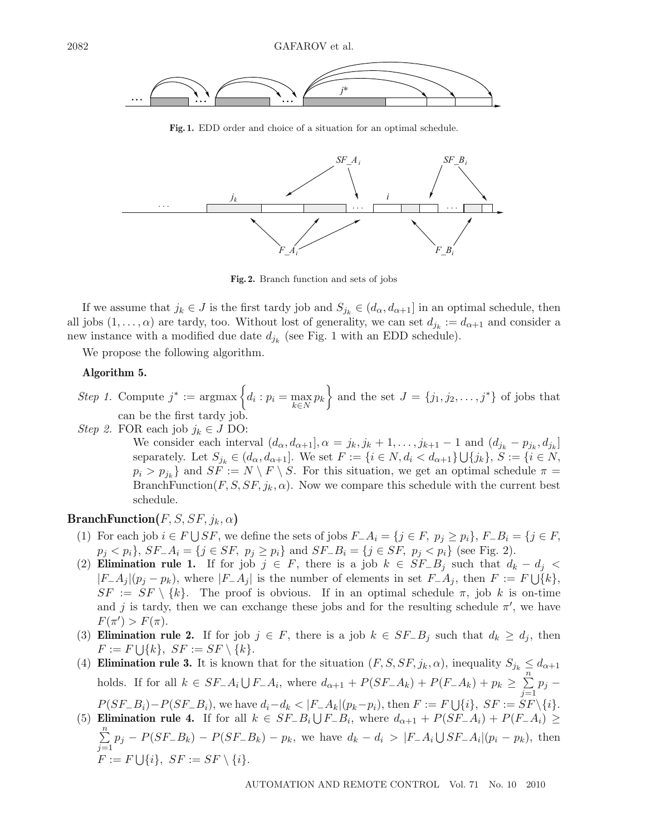

**Fig. 1.** EDD order and choice of a situation for an optimal schedule.



**Fig. 2.** Branch function and sets of jobs

If we assume that  $j_k \in J$  is the first tardy job and  $S_{j_k} \in (d_\alpha, d_{\alpha+1}]$  in an optimal schedule, then all jobs  $(1,\ldots,\alpha)$  are tardy, too. Without lost of generality, we can set  $d_{j_k} := d_{\alpha+1}$  and consider a new instance with a modified due date  $d_{i_k}$  (see Fig. 1 with an EDD schedule).

We propose the following algorithm.

#### **Algorithm 5.**

Step 1. Compute 
$$
j^* := \argmax \left\{ d_i : p_i = \max_{k \in N} p_k \right\}
$$
 and the set  $J = \{j_1, j_2, \ldots, j^*\}$  of jobs that can be the first tardy job.

*Step 2.* FOR each job  $j_k \in J$  DO:

We consider each interval  $(d_{\alpha}, d_{\alpha+1}], \alpha = j_k, j_k + 1, \ldots, j_{k+1} - 1$  and  $(d_{j_k} - p_{j_k}, d_{j_k}]$ separately. Let  $S_{j_k} \in (d_{\alpha}, d_{\alpha+1}]$ . We set  $F := \{i \in N, d_i < d_{\alpha+1}\} \cup \{j_k\}, S := \{i \in N,$  $p_i > p_{j_k}$  and  $SF := N \setminus F \setminus S$ . For this situation, we get an optimal schedule  $\pi =$ BranchFunction(F, S,  $SF, j_k, \alpha$ ). Now we compare this schedule with the current best schedule.

# **BranchFunction** $(F, S, SF, j_k, \alpha)$

- (1) For each job  $i \in F \cup SF$ , we define the sets of jobs  $F_1 \cup A_i = \{j \in F, p_j \geq p_i\}$ ,  $F_1 \cup F_2 = \{j \in F, f_j \geq p_i\}$  $p_j < p_i$ ,  $SF_-\mathcal{A}_i = \{j \in SF, p_j \ge p_i\}$  and  $SF_-\mathcal{B}_i = \{j \in SF, p_j < p_i\}$  (see Fig. 2).
- (2) **Elimination rule 1.** If for job  $j \in F$ , there is a job  $k \in SF B_j$  such that  $d_k d_j <$  $|F_{-}A_j|(p_j - p_k)$ , where  $|F_{-}A_j|$  is the number of elements in set  $F_{-}A_j$ , then  $F := F \cup \{k\},$  $SF := SF \setminus \{k\}.$  The proof is obvious. If in an optimal schedule  $\pi$ , job k is on-time and j is tardy, then we can exchange these jobs and for the resulting schedule  $\pi'$ , we have  $F(\pi') > F(\pi)$ .
- (3) **Elimination rule 2.** If for job  $j \in F$ , there is a job  $k \in SF B_j$  such that  $d_k \geq d_j$ , then  $F := F \cup \{k\}, \ SF := SF \setminus \{k\}.$
- (4) **Elimination rule 3.** It is known that for the situation  $(F, S, SF, j_k, \alpha)$ , inequality  $S_{j_k} \leq d_{\alpha+1}$ holds. If for all  $k \in SF_-A_i \cup F_-A_i$ , where  $d_{\alpha+1} + P(SF_-A_k) + P(F_-A_k) + p_k \geq \sum_{j=1}^{\infty}$  $p_j P(SF_{-}B_i)-P(SF_{-}B_i)$ , we have  $d_i-d_k < |F_{-}A_k|(p_k-p_i)$ , then  $F := F \cup \{i\}$ ,  $SF := SF \setminus \{i\}$ .
- (5) **Elimination rule 4.** If for all  $k \in SF \_B_i \cup F \_B_i$ , where  $d_{\alpha+1} + P(SF \_A_i) + P(F \_A_i) \ge$  $\sum$ n  $\sum_{j=1}^{n} p_j - P(SF_{-}B_k) - P(SF_{-}B_k) - p_k$ , we have  $d_k - d_i > |F_{-}A_i| \bigcup SF_{-}A_i | (p_i - p_k)$ , then  $F := F \bigcup \{i\}, \ SF := SF \setminus \{i\}.$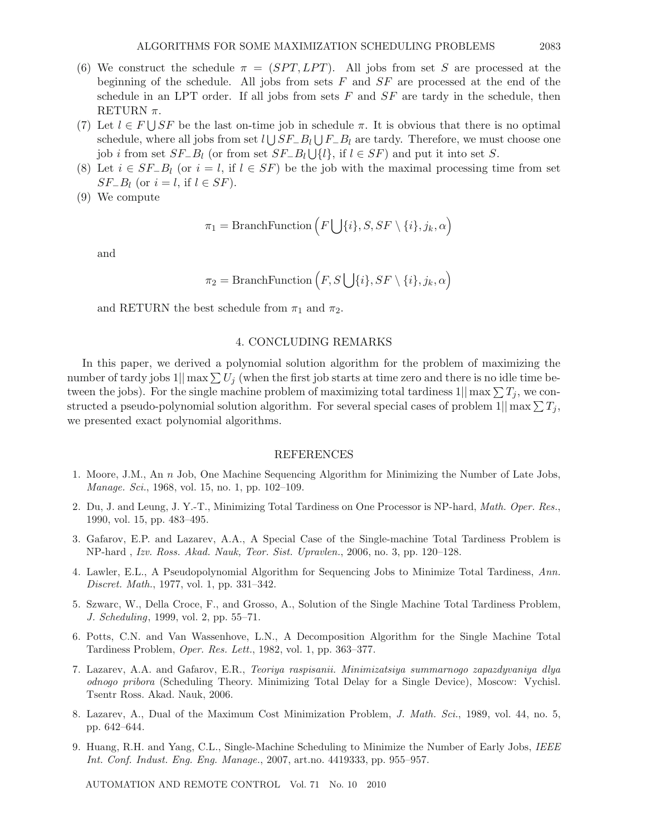- (6) We construct the schedule  $\pi = (SPT, LPT)$ . All jobs from set S are processed at the beginning of the schedule. All jobs from sets  $F$  and  $SF$  are processed at the end of the schedule in an LPT order. If all jobs from sets  $F$  and  $SF$  are tardy in the schedule, then RETURN  $\pi$ .
- (7) Let  $l \in F \cup SF$  be the last on-time job in schedule  $\pi$ . It is obvious that there is no optimal schedule, where all jobs from set  $l \bigcup SF-B_l \bigcup F-B_l$  are tardy. Therefore, we must choose one job *i* from set  $SF\_B_l$  (or from set  $SF\_B_l \cup \{l\}$ , if  $l \in SF$ ) and put it into set S.
- (8) Let  $i \in SF-B_l$  (or  $i = l$ , if  $l \in SF$ ) be the job with the maximal processing time from set  $SF_{-}B_{l}$  (or  $i = l$ , if  $l \in SF$ ).
- (9) We compute

$$
\pi_1 = \text{BranchFunction}\left(F \bigcup \{i\}, S, SF \setminus \{i\}, j_k, \alpha\right)
$$

and

$$
\pi_2 = \text{BranchFunction}\left(F, S\bigcup \{i\}, SF\setminus \{i\}, j_k, \alpha\right)
$$

and RETURN the best schedule from  $\pi_1$  and  $\pi_2$ .

### 4. CONCLUDING REMARKS

In this paper, we derived a polynomial solution algorithm for the problem of maximizing the number of tardy jobs  $1||\max \sum U_i$  (when the first job starts at time zero and there is no idle time between the jobs). For the single machine problem of maximizing total tardiness  $1||\max \sum T_i$ , we constructed a pseudo-polynomial solution algorithm. For several special cases of problem  $1||\max \sum T_j$ , we presented exact polynomial algorithms.

#### REFERENCES

- 1. Moore, J.M., An n Job, One Machine Sequencing Algorithm for Minimizing the Number of Late Jobs, *Manage. Sci.*, 1968, vol. 15, no. 1, pp. 102–109.
- 2. Du, J. and Leung, J. Y.-T., Minimizing Total Tardiness on One Processor is NP-hard, *Math. Oper. Res.*, 1990, vol. 15, pp. 483–495.
- 3. Gafarov, E.P. and Lazarev, A.A., A Special Case of the Single-machine Total Tardiness Problem is NP-hard , *Izv. Ross. Akad. Nauk, Teor. Sist. Upravlen.*, 2006, no. 3, pp. 120–128.
- 4. Lawler, E.L., A Pseudopolynomial Algorithm for Sequencing Jobs to Minimize Total Tardiness, *Ann. Discret. Math.*, 1977, vol. 1, pp. 331–342.
- 5. Szwarc, W., Della Croce, F., and Grosso, A., Solution of the Single Machine Total Tardiness Problem, *J. Scheduling*, 1999, vol. 2, pp. 55–71.
- 6. Potts, C.N. and Van Wassenhove, L.N., A Decomposition Algorithm for the Single Machine Total Tardiness Problem, *Oper. Res. Lett.*, 1982, vol. 1, pp. 363–377.
- 7. Lazarev, A.A. and Gafarov, E.R., *Teoriya raspisanii. Minimizatsiya summarnogo zapazdyvaniya dlya odnogo pribora* (Scheduling Theory. Minimizing Total Delay for a Single Device), Moscow: Vychisl. Tsentr Ross. Akad. Nauk, 2006.
- 8. Lazarev, A., Dual of the Maximum Cost Minimization Problem, *J. Math. Sci.*, 1989, vol. 44, no. 5, pp. 642–644.
- 9. Huang, R.H. and Yang, C.L., Single-Machine Scheduling to Minimize the Number of Early Jobs, *IEEE Int. Conf. Indust. Eng. Eng. Manage.*, 2007, art.no. 4419333, pp. 955–957.